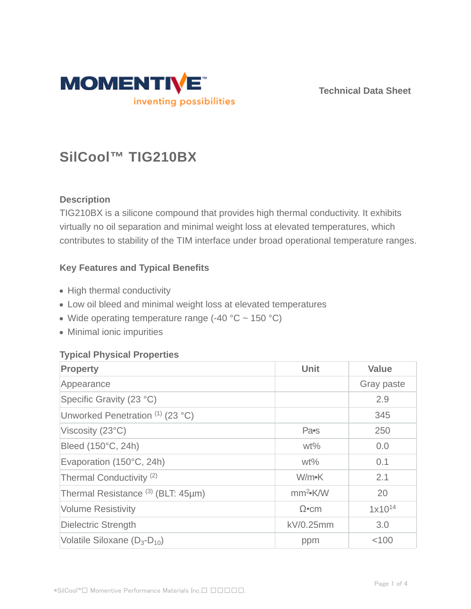

**Technical Data Sheet**

# **SilCool™ TIG210BX**

# **Description**

TIG210BX is a silicone compound that provides high thermal conductivity. It exhibits virtually no oil separation and minimal weight loss at elevated temperatures, which contributes to stability of the TIM interface under broad operational temperature ranges.

## **Key Features and Typical Benefits**

- High thermal conductivity
- Low oil bleed and minimal weight loss at elevated temperatures
- Wide operating temperature range  $(-40 °C \sim 150 °C)$
- Minimal ionic impurities

# **Typical Physical Properties**

| <b>Property</b>                               | Unit                       | <b>Value</b> |
|-----------------------------------------------|----------------------------|--------------|
| Appearance                                    |                            | Gray paste   |
| Specific Gravity (23 °C)                      |                            | 2.9          |
| Unworked Penetration (1) (23 °C)              |                            | 345          |
| Viscosity (23°C)                              | Pa <sub>s</sub>            | 250          |
| Bleed (150°C, 24h)                            | $wt\%$                     | 0.0          |
| Evaporation (150°C, 24h)                      | $wt\%$                     | 0.1          |
| Thermal Conductivity <sup>(2)</sup>           | W/m•K                      | 2.1          |
| Thermal Resistance <sup>(3)</sup> (BLT: 45µm) | mm <sup>2</sup> <b>K/W</b> | 20           |
| <b>Volume Resistivity</b>                     | $\Omega$ •cm               | $1x10^{14}$  |
| <b>Dielectric Strength</b>                    | kV/0.25mm                  | 3.0          |
| Volatile Siloxane $(D_3-D_{10})$              | ppm                        | < 100        |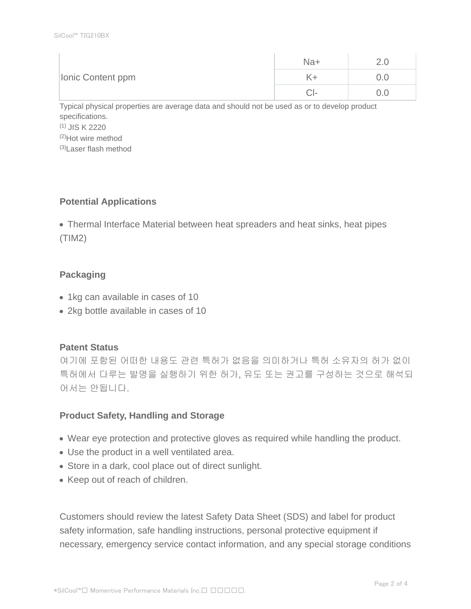| Ionic Content ppm | Na+  | . . |
|-------------------|------|-----|
|                   |      | J.O |
|                   | - 12 | J.O |

Typical physical properties are average data and should not be used as or to develop product specifications. (1) JIS K 2220 (2)Hot wire method (3)Laser flash method

## **Potential Applications**

Thermal Interface Material between heat spreaders and heat sinks, heat pipes (TIM2)

## **Packaging**

- 1kg can available in cases of 10
- 2kg bottle available in cases of 10

## **Patent Status**

여기에 포함된 어떠한 내용도 관련 특허가 없음을 의미하거나 특허 소유자의 허가 없이 특허에서 다루는 발명을 실행하기 위한 허가, 유도 또는 권고를 구성하는 것으로 해석되 어서는 안됩니다.

## **Product Safety, Handling and Storage**

- Wear eye protection and protective gloves as required while handling the product.
- Use the product in a well ventilated area.
- Store in a dark, cool place out of direct sunlight.
- Keep out of reach of children.

Customers should review the latest Safety Data Sheet (SDS) and label for product safety information, safe handling instructions, personal protective equipment if necessary, emergency service contact information, and any special storage conditions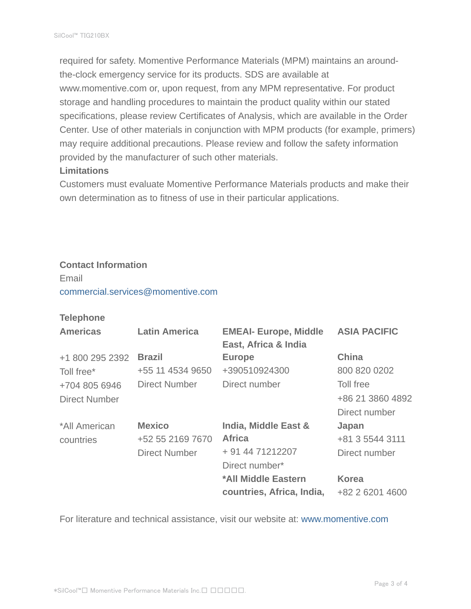required for safety. Momentive Performance Materials (MPM) maintains an aroundthe-clock emergency service for its products. SDS are available at www.momentive.com or, upon request, from any MPM representative. For product storage and handling procedures to maintain the product quality within our stated specifications, please review Certificates of Analysis, which are available in the Order Center. Use of other materials in conjunction with MPM products (for example, primers) may require additional precautions. Please review and follow the safety information provided by the manufacturer of such other materials.

#### **Limitations**

Customers must evaluate Momentive Performance Materials products and make their own determination as to fitness of use in their particular applications.

### **Contact Information**

Email commercial.services@momentive.com

#### **Telephone**

| <b>Americas</b>      | <b>Latin America</b> | <b>EMEAI- Europe, Middle</b><br>East, Africa & India | <b>ASIA PACIFIC</b> |
|----------------------|----------------------|------------------------------------------------------|---------------------|
| +1 800 295 2392      | <b>Brazil</b>        | <b>Europe</b>                                        | <b>China</b>        |
| Toll free*           | +55 11 4534 9650     | +390510924300                                        | 800 820 0202        |
| +704 805 6946        | <b>Direct Number</b> | Direct number                                        | Toll free           |
| <b>Direct Number</b> |                      |                                                      | +86 21 3860 4892    |
|                      |                      |                                                      | Direct number       |
| *All American        | <b>Mexico</b>        | India, Middle East &                                 | Japan               |
| countries            | +52 55 2169 7670     | <b>Africa</b>                                        | +81 3 5544 3111     |
|                      | <b>Direct Number</b> | + 91 44 71212207                                     | Direct number       |
|                      |                      | Direct number*                                       |                     |
|                      |                      | *All Middle Eastern                                  | <b>Korea</b>        |
|                      |                      | countries, Africa, India,                            | +82 2 6201 4600     |

For literature and technical assistance, visit our website at: www.momentive.com